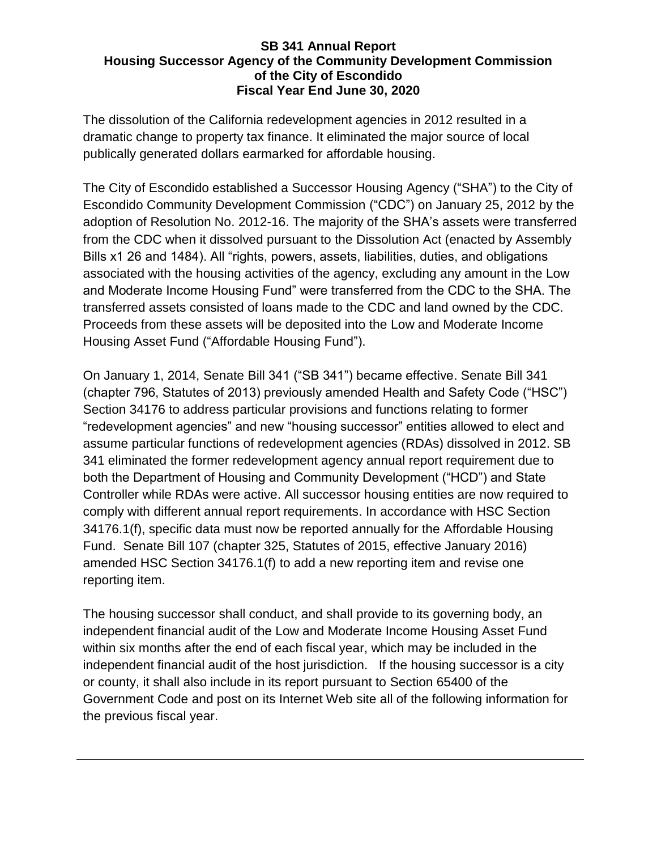The dissolution of the California redevelopment agencies in 2012 resulted in a dramatic change to property tax finance. It eliminated the major source of local publically generated dollars earmarked for affordable housing.

The City of Escondido established a Successor Housing Agency ("SHA") to the City of Escondido Community Development Commission ("CDC") on January 25, 2012 by the adoption of Resolution No. 2012-16. The majority of the SHA's assets were transferred from the CDC when it dissolved pursuant to the Dissolution Act (enacted by Assembly Bills x1 26 and 1484). All "rights, powers, assets, liabilities, duties, and obligations associated with the housing activities of the agency, excluding any amount in the Low and Moderate Income Housing Fund" were transferred from the CDC to the SHA. The transferred assets consisted of loans made to the CDC and land owned by the CDC. Proceeds from these assets will be deposited into the Low and Moderate Income Housing Asset Fund ("Affordable Housing Fund").

On January 1, 2014, Senate Bill 341 ("SB 341") became effective. Senate Bill 341 (chapter 796, Statutes of 2013) previously amended Health and Safety Code ("HSC") Section 34176 to address particular provisions and functions relating to former "redevelopment agencies" and new "housing successor" entities allowed to elect and assume particular functions of redevelopment agencies (RDAs) dissolved in 2012. SB 341 eliminated the former redevelopment agency annual report requirement due to both the Department of Housing and Community Development ("HCD") and State Controller while RDAs were active. All successor housing entities are now required to comply with different annual report requirements. In accordance with HSC Section 34176.1(f), specific data must now be reported annually for the Affordable Housing Fund. Senate Bill 107 (chapter 325, Statutes of 2015, effective January 2016) amended HSC Section 34176.1(f) to add a new reporting item and revise one reporting item.

The housing successor shall conduct, and shall provide to its governing body, an independent financial audit of the Low and Moderate Income Housing Asset Fund within six months after the end of each fiscal year, which may be included in the independent financial audit of the host jurisdiction. If the housing successor is a city or county, it shall also include in its report pursuant to [Section 65400 of the](https://1.next.westlaw.com/Link/Document/FullText?findType=L&originatingContext=document&transitionType=DocumentItem&pubNum=1000211&refType=LQ&originatingDoc=I0c15293113e611e9b076f3fb865dfd51&cite=CAGTS65400)  [Government Code](https://1.next.westlaw.com/Link/Document/FullText?findType=L&originatingContext=document&transitionType=DocumentItem&pubNum=1000211&refType=LQ&originatingDoc=I0c15293113e611e9b076f3fb865dfd51&cite=CAGTS65400) and post on its Internet Web site all of the following information for the previous fiscal year.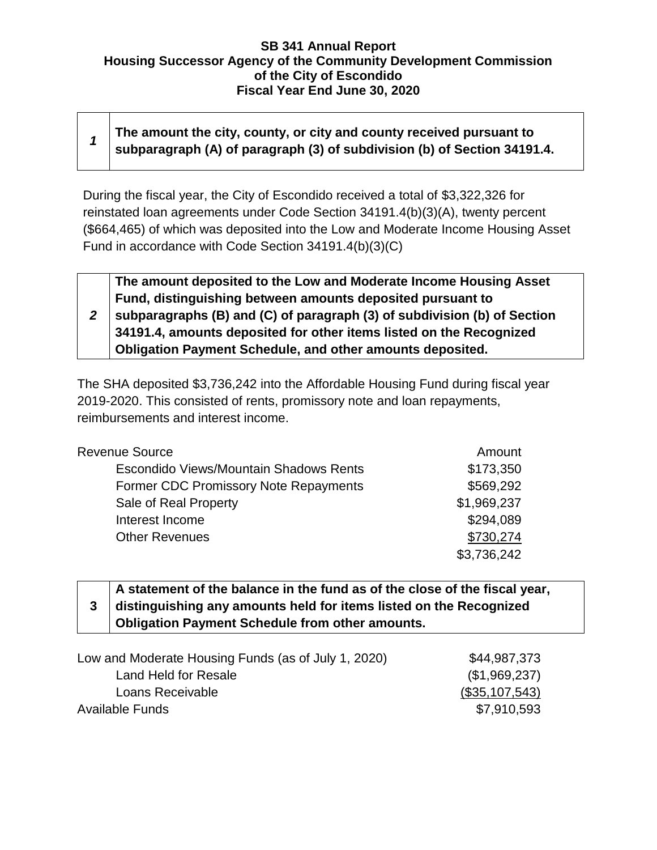# **The amount the city, county, or city and county received pursuant to subparagraph (A) of paragraph (3) of subdivision (b) of Section 34191.4.**

*1*

During the fiscal year, the City of Escondido received a total of \$3,322,326 for reinstated loan agreements under Code Section 34191.4(b)(3)(A), twenty percent (\$664,465) of which was deposited into the Low and Moderate Income Housing Asset Fund in accordance with Code Section 34191.4(b)(3)(C)

**The amount deposited to the Low and Moderate Income Housing Asset Fund, distinguishing between amounts deposited pursuant to** 

*2* **subparagraphs (B) and (C) of paragraph (3) of subdivision (b) of Section 34191.4, amounts deposited for other items listed on the Recognized Obligation Payment Schedule, and other amounts deposited.**

The SHA deposited \$3,736,242 into the Affordable Housing Fund during fiscal year 2019-2020. This consisted of rents, promissory note and loan repayments, reimbursements and interest income.

| <b>Revenue Source</b>                         | Amount      |
|-----------------------------------------------|-------------|
| <b>Escondido Views/Mountain Shadows Rents</b> | \$173,350   |
| <b>Former CDC Promissory Note Repayments</b>  | \$569,292   |
| Sale of Real Property                         | \$1,969,237 |
| Interest Income                               | \$294,089   |
| <b>Other Revenues</b>                         | \$730,274   |
|                                               | \$3,736,242 |

| A statement of the balance in the fund as of the close of the fiscal year, |
|----------------------------------------------------------------------------|
| 3 distinguishing any amounts held for items listed on the Recognized       |
| <b>Obligation Payment Schedule from other amounts.</b>                     |

| Low and Moderate Housing Funds (as of July 1, 2020) | \$44,987,373   |
|-----------------------------------------------------|----------------|
| Land Held for Resale                                | (\$1,969,237)  |
| Loans Receivable                                    | (\$35,107,543) |
| Available Funds                                     | \$7,910,593    |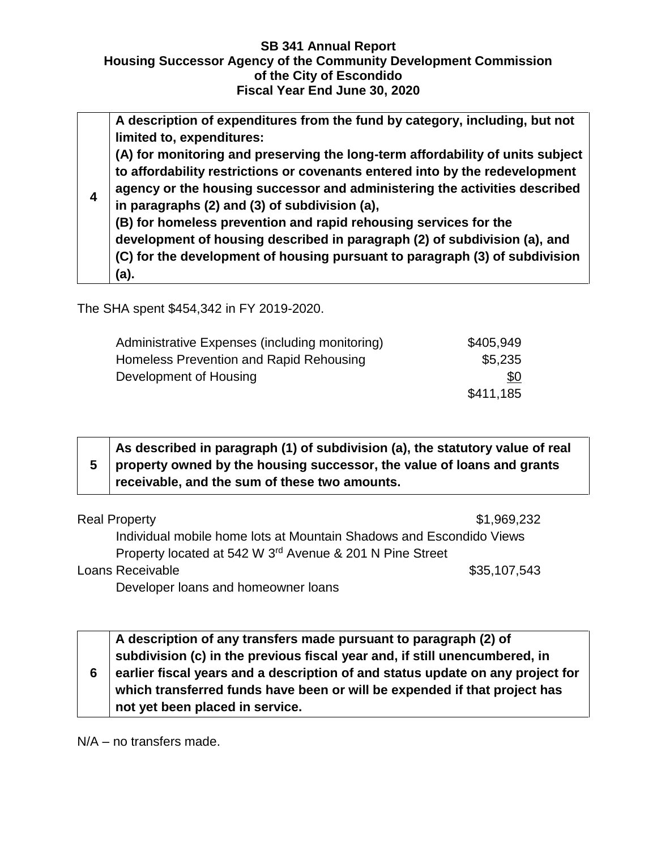**A description of expenditures from the fund by category, including, but not limited to, expenditures:**

**(A) for monitoring and preserving the long-term affordability of units subject to affordability restrictions or covenants entered into by the redevelopment agency or the housing successor and administering the activities described** 

**4 in paragraphs (2) and (3) of subdivision (a), (B) for homeless prevention and rapid rehousing services for the development of housing described in paragraph (2) of subdivision (a), and (C) for the development of housing pursuant to paragraph (3) of subdivision (a).**

The SHA spent \$454,342 in FY 2019-2020.

| Administrative Expenses (including monitoring) | \$405,949 |
|------------------------------------------------|-----------|
| Homeless Prevention and Rapid Rehousing        | \$5,235   |
| Development of Housing                         | \$0       |
|                                                | \$411,185 |

| As described in paragraph (1) of subdivision (a), the statutory value of real |
|-------------------------------------------------------------------------------|
| property owned by the housing successor, the value of loans and grants        |
| receivable, and the sum of these two amounts.                                 |

| <b>Real Property</b>                                                | \$1,969,232  |
|---------------------------------------------------------------------|--------------|
| Individual mobile home lots at Mountain Shadows and Escondido Views |              |
| Property located at 542 W 3rd Avenue & 201 N Pine Street            |              |
| Loans Receivable                                                    | \$35,107,543 |
| Developer loans and homeowner loans                                 |              |

**6 A description of any transfers made pursuant to paragraph (2) of subdivision (c) in the previous fiscal year and, if still unencumbered, in earlier fiscal years and a description of and status update on any project for which transferred funds have been or will be expended if that project has not yet been placed in service.**

N/A – no transfers made.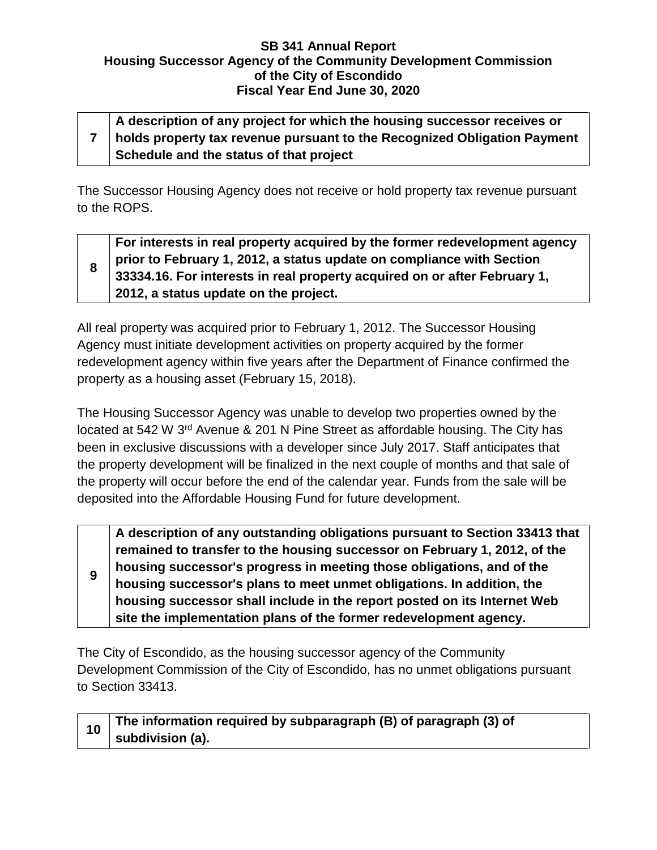**7 A description of any project for which the housing successor receives or holds property tax revenue pursuant to the Recognized Obligation Payment Schedule and the status of that project**

The Successor Housing Agency does not receive or hold property tax revenue pursuant to the ROPS.

**8**

**9**

**For interests in real property acquired by the former redevelopment agency prior to February 1, 2012, a status update on compliance with Section 33334.16. For interests in real property acquired on or after February 1, 2012, a status update on the project.**

All real property was acquired prior to February 1, 2012. The Successor Housing Agency must initiate development activities on property acquired by the former redevelopment agency within five years after the Department of Finance confirmed the property as a housing asset (February 15, 2018).

The Housing Successor Agency was unable to develop two properties owned by the located at 542 W 3rd Avenue & 201 N Pine Street as affordable housing. The City has been in exclusive discussions with a developer since July 2017. Staff anticipates that the property development will be finalized in the next couple of months and that sale of the property will occur before the end of the calendar year. Funds from the sale will be deposited into the Affordable Housing Fund for future development.

**A description of any outstanding obligations pursuant to Section 33413 that remained to transfer to the housing successor on February 1, 2012, of the housing successor's progress in meeting those obligations, and of the housing successor's plans to meet unmet obligations. In addition, the housing successor shall include in the report posted on its Internet Web site the implementation plans of the former redevelopment agency.**

The City of Escondido, as the housing successor agency of the Community Development Commission of the City of Escondido, has no unmet obligations pursuant to Section 33413.

**10 The information required by subparagraph (B) of paragraph (3) of**  $\frac{1}{2}$ **subdivision (a).**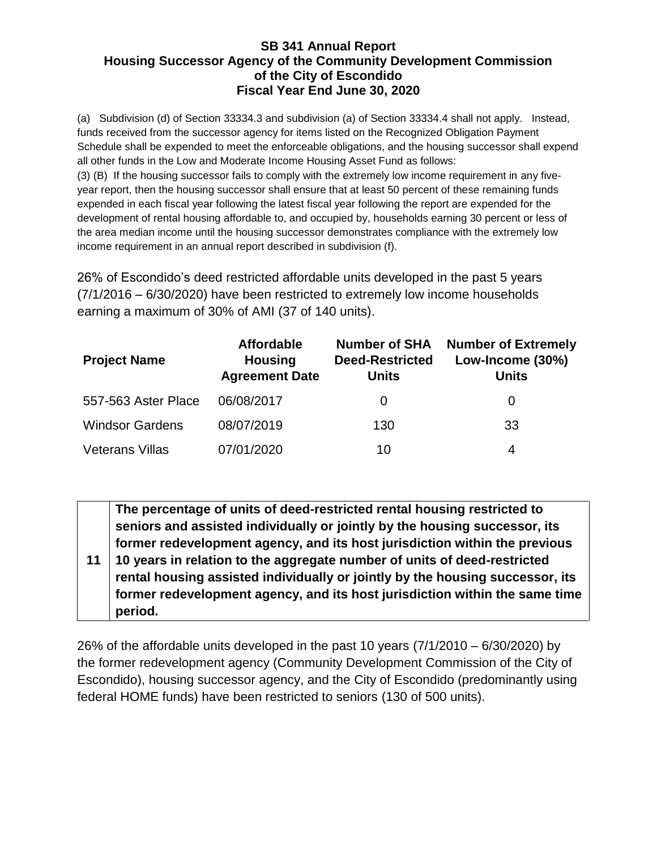(a) [Subdivision \(d\) of Section 33334.3](https://1.next.westlaw.com/Link/Document/FullText?findType=L&originatingContext=document&transitionType=DocumentItem&pubNum=1000213&refType=SP&originatingDoc=I0c13a29213e611e9b076f3fb865dfd51&cite=CAHSS33334.3) and [subdivision \(a\) of Section 33334.4](https://1.next.westlaw.com/Link/Document/FullText?findType=L&originatingContext=document&transitionType=DocumentItem&pubNum=1000213&refType=SP&originatingDoc=I0c13a29313e611e9b076f3fb865dfd51&cite=CAHSS33334.4) shall not apply. Instead, funds received from the successor agency for items listed on the Recognized Obligation Payment Schedule shall be expended to meet the enforceable obligations, and the housing successor shall expend all other funds in the Low and Moderate Income Housing Asset Fund as follows:

(3) (B) If the housing successor fails to comply with the extremely low income requirement in any fiveyear report, then the housing successor shall ensure that at least 50 percent of these remaining funds expended in each fiscal year following the latest fiscal year following the report are expended for the development of rental housing affordable to, and occupied by, households earning 30 percent or less of the area median income until the housing successor demonstrates compliance with the extremely low income requirement in an annual report described in subdivision (f).

26% of Escondido's deed restricted affordable units developed in the past 5 years (7/1/2016 – 6/30/2020) have been restricted to extremely low income households earning a maximum of 30% of AMI (37 of 140 units).

| <b>Project Name</b>    | <b>Affordable</b><br><b>Housing</b><br><b>Agreement Date</b> | <b>Number of SHA</b><br><b>Deed-Restricted</b><br><b>Units</b> | <b>Number of Extremely</b><br>Low-Income (30%)<br><b>Units</b> |
|------------------------|--------------------------------------------------------------|----------------------------------------------------------------|----------------------------------------------------------------|
| 557-563 Aster Place    | 06/08/2017                                                   | $\Omega$                                                       | O                                                              |
| <b>Windsor Gardens</b> | 08/07/2019                                                   | 130                                                            | 33                                                             |
| <b>Veterans Villas</b> | 07/01/2020                                                   | 10                                                             | 4                                                              |

**The percentage of units of deed-restricted rental housing restricted to seniors and assisted individually or jointly by the housing successor, its former redevelopment agency, and its host jurisdiction within the previous** 

**11 10 years in relation to the aggregate number of units of deed-restricted rental housing assisted individually or jointly by the housing successor, its former redevelopment agency, and its host jurisdiction within the same time period.**

26% of the affordable units developed in the past 10 years (7/1/2010 – 6/30/2020) by the former redevelopment agency (Community Development Commission of the City of Escondido), housing successor agency, and the City of Escondido (predominantly using federal HOME funds) have been restricted to seniors (130 of 500 units).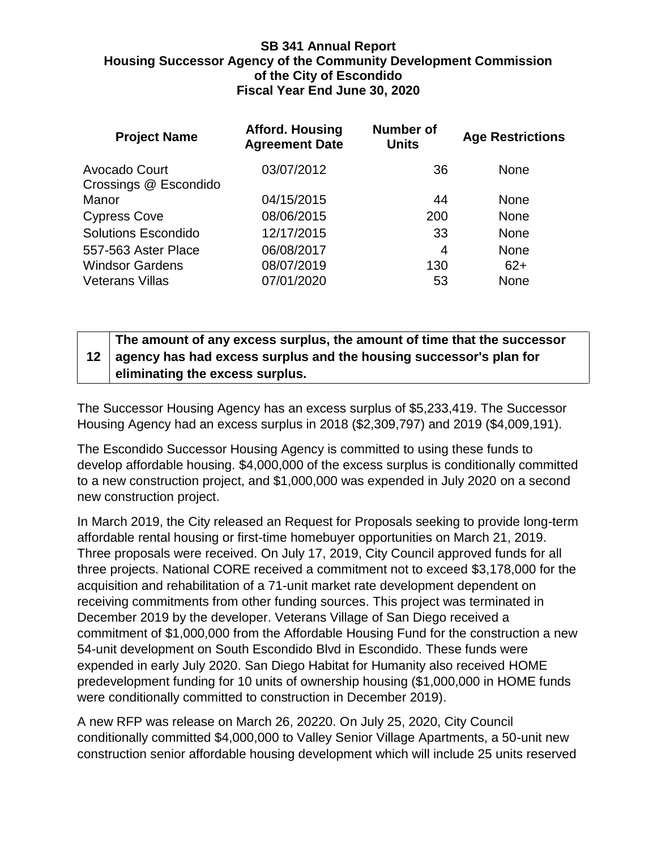| <b>Afford. Housing</b><br><b>Agreement Date</b> | <b>Number of</b><br><b>Units</b> | <b>Age Restrictions</b> |
|-------------------------------------------------|----------------------------------|-------------------------|
| 03/07/2012                                      | 36                               | <b>None</b>             |
| 04/15/2015                                      | 44                               | <b>None</b>             |
| 08/06/2015                                      | 200                              | <b>None</b>             |
| 12/17/2015                                      | 33                               | <b>None</b>             |
| 06/08/2017                                      | 4                                | <b>None</b>             |
| 08/07/2019                                      | 130                              | $62+$                   |
| 07/01/2020                                      | 53                               | <b>None</b>             |
|                                                 |                                  |                         |

#### **12 The amount of any excess surplus, the amount of time that the successor agency has had excess surplus and the housing successor's plan for eliminating the excess surplus.**

The Successor Housing Agency has an excess surplus of \$5,233,419. The Successor Housing Agency had an excess surplus in 2018 (\$2,309,797) and 2019 (\$4,009,191).

The Escondido Successor Housing Agency is committed to using these funds to develop affordable housing. \$4,000,000 of the excess surplus is conditionally committed to a new construction project, and \$1,000,000 was expended in July 2020 on a second new construction project.

In March 2019, the City released an Request for Proposals seeking to provide long-term affordable rental housing or first-time homebuyer opportunities on March 21, 2019. Three proposals were received. On July 17, 2019, City Council approved funds for all three projects. National CORE received a commitment not to exceed \$3,178,000 for the acquisition and rehabilitation of a 71-unit market rate development dependent on receiving commitments from other funding sources. This project was terminated in December 2019 by the developer. Veterans Village of San Diego received a commitment of \$1,000,000 from the Affordable Housing Fund for the construction a new 54-unit development on South Escondido Blvd in Escondido. These funds were expended in early July 2020. San Diego Habitat for Humanity also received HOME predevelopment funding for 10 units of ownership housing (\$1,000,000 in HOME funds were conditionally committed to construction in December 2019).

A new RFP was release on March 26, 20220. On July 25, 2020, City Council conditionally committed \$4,000,000 to Valley Senior Village Apartments, a 50-unit new construction senior affordable housing development which will include 25 units reserved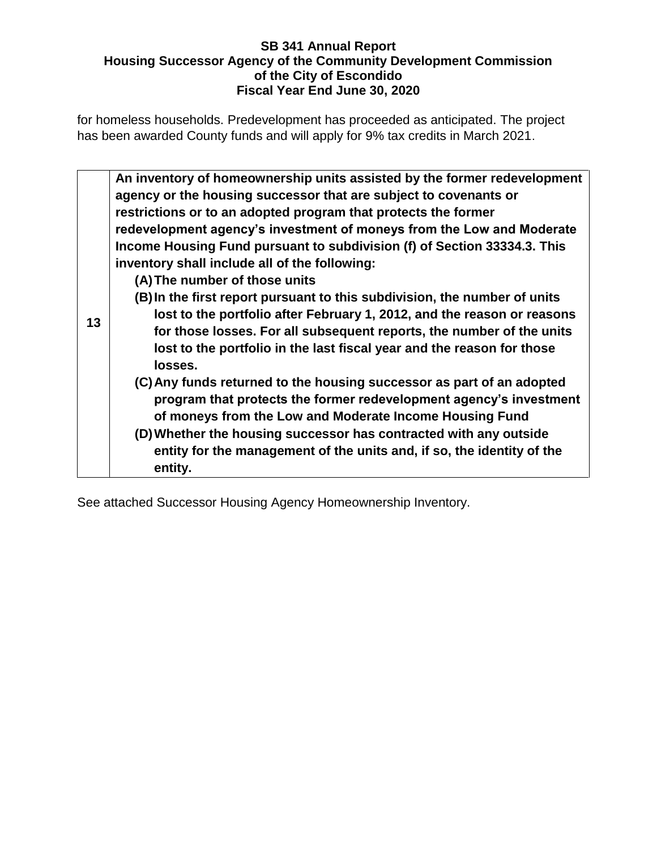for homeless households. Predevelopment has proceeded as anticipated. The project has been awarded County funds and will apply for 9% tax credits in March 2021.

|    | An inventory of homeownership units assisted by the former redevelopment<br>agency or the housing successor that are subject to covenants or |
|----|----------------------------------------------------------------------------------------------------------------------------------------------|
|    |                                                                                                                                              |
|    | restrictions or to an adopted program that protects the former                                                                               |
|    | redevelopment agency's investment of moneys from the Low and Moderate                                                                        |
|    | Income Housing Fund pursuant to subdivision (f) of Section 33334.3. This                                                                     |
|    | inventory shall include all of the following:                                                                                                |
|    | (A) The number of those units                                                                                                                |
|    | (B) In the first report pursuant to this subdivision, the number of units                                                                    |
| 13 | lost to the portfolio after February 1, 2012, and the reason or reasons                                                                      |
|    | for those losses. For all subsequent reports, the number of the units                                                                        |
|    | lost to the portfolio in the last fiscal year and the reason for those                                                                       |
|    | losses.                                                                                                                                      |
|    | (C) Any funds returned to the housing successor as part of an adopted                                                                        |
|    | program that protects the former redevelopment agency's investment                                                                           |
|    | of moneys from the Low and Moderate Income Housing Fund                                                                                      |
|    | (D) Whether the housing successor has contracted with any outside                                                                            |
|    | entity for the management of the units and, if so, the identity of the                                                                       |
|    | entity.                                                                                                                                      |
|    |                                                                                                                                              |

See attached Successor Housing Agency Homeownership Inventory.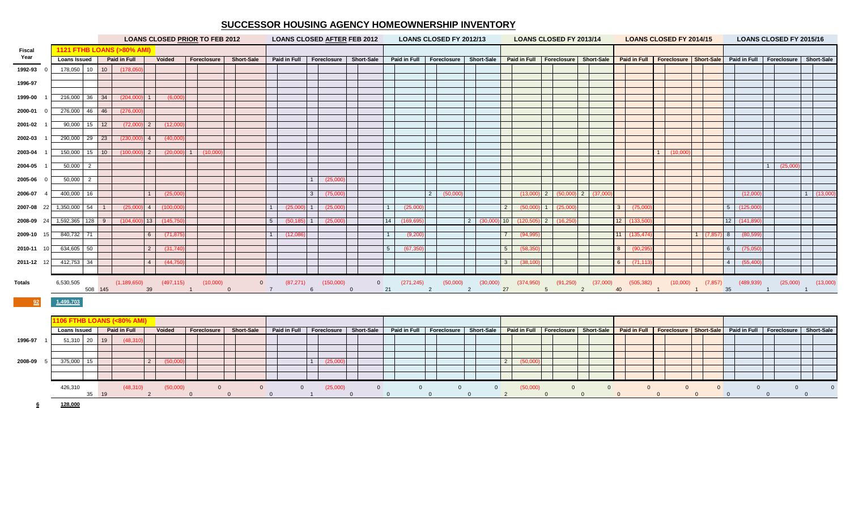#### **SUCCESSOR HOUSING AGENCY HOMEOWNERSHIP INVENTORY**



**6 128,000**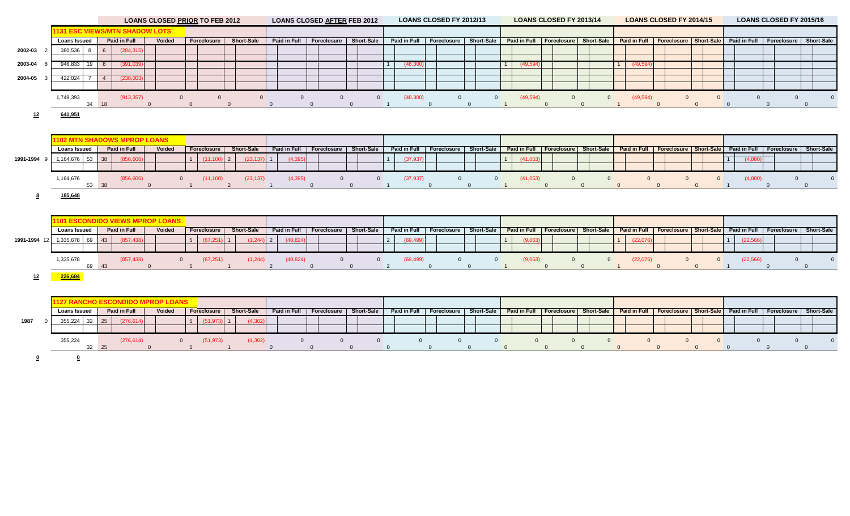

**12 641,951**

|           |           | Loans Issued | Paid in Full | Voided | Foreclosur |           | <b>Short-Sale</b> | Paid in Full | Foreclosure Short-Sale |  |           | Paid in Full   Foreclosure   Short-Sale   Paid in Full   Foreclosure   Short-Sale |          |  | Paid in Full   Foreclosure   Short-Sale   Paid in Full |  |         | Foreclosure Short-Sale |  |
|-----------|-----------|--------------|--------------|--------|------------|-----------|-------------------|--------------|------------------------|--|-----------|-----------------------------------------------------------------------------------|----------|--|--------------------------------------------------------|--|---------|------------------------|--|
| 1991-1994 | 1,164,676 |              | (856, 606)   |        |            |           |                   | (4, 39)      |                        |  | (37, 937) |                                                                                   | (41,053) |  |                                                        |  |         |                        |  |
|           |           |              |              |        |            |           |                   |              |                        |  |           |                                                                                   |          |  |                                                        |  |         |                        |  |
|           |           | 1,164,676    | (856, 606)   |        |            | (11, 100) | (23, 137)         | (4,395)      |                        |  | (37, 937) |                                                                                   | (41,053) |  |                                                        |  | 14.800) |                        |  |
|           |           |              |              |        |            |           |                   |              |                        |  |           |                                                                                   |          |  |                                                        |  |         |                        |  |

**8 185,648**

|              | Loans Issued |    | <b>Paid in Full</b> | Voidec | <b>Foreclosure</b> | <b>Short-Sale</b> |          | Paid in Full | Foreclosure Short-Sale |  |           | Paid in Full   Foreclosure   Short-Sale   Paid in Full   Foreclosure   Short-Sale |         |  | Paid in Full |          |  |          | Foreclosure Short-Sale   Paid in Full   Foreclosure   Short-Sale |  |
|--------------|--------------|----|---------------------|--------|--------------------|-------------------|----------|--------------|------------------------|--|-----------|-----------------------------------------------------------------------------------|---------|--|--------------|----------|--|----------|------------------------------------------------------------------|--|
| 1991-1994 12 | 1,335,678    |    |                     |        |                    |                   |          |              |                        |  |           |                                                                                   | 9.063.  |  |              |          |  | (22, 56) |                                                                  |  |
|              |              |    |                     |        |                    |                   |          |              |                        |  |           |                                                                                   |         |  |              |          |  |          |                                                                  |  |
|              | 1,335,678    |    | (857, 438)          |        | (67.251)           |                   | (1, 244) | (40, 824)    |                        |  | (69, 499) |                                                                                   | (9.063) |  |              | (22.076) |  | (22.566) |                                                                  |  |
|              |              | 69 |                     |        |                    |                   |          |              |                        |  |           |                                                                                   |         |  |              |          |  |          |                                                                  |  |

**12 226,684**

|      | Loans Issued | Paid in Full | Voided | Foreclosure | <b>Short-Sale</b> | Paid in Full   Foreclosure   Short-Sale   Paid in Full   Foreclosure   Short-Sale   Paid in Full   Foreclosure   Short-Sale   Paid in Full   Foreclosure   Short-Sale   Paid in Full   Foreclosure   Short-Sale   Paid in Full |  |  |  |  |  |  |  |
|------|--------------|--------------|--------|-------------|-------------------|--------------------------------------------------------------------------------------------------------------------------------------------------------------------------------------------------------------------------------|--|--|--|--|--|--|--|
| 1987 |              |              |        |             |                   |                                                                                                                                                                                                                                |  |  |  |  |  |  |  |
|      |              |              |        |             |                   |                                                                                                                                                                                                                                |  |  |  |  |  |  |  |
|      | 355,224      | (276.614     |        |             |                   |                                                                                                                                                                                                                                |  |  |  |  |  |  |  |
|      |              |              |        |             |                   |                                                                                                                                                                                                                                |  |  |  |  |  |  |  |

**0 0**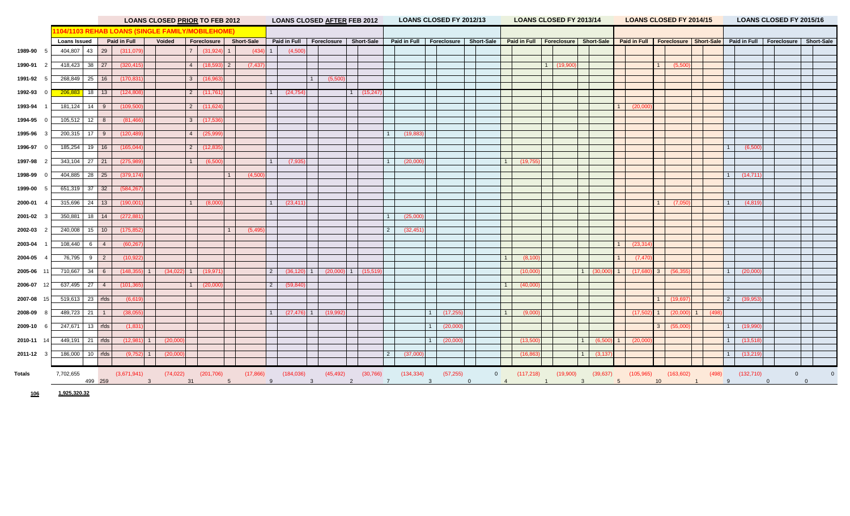| 104/1103 REHAB LOANS (SINGLE FAMILY/MOBILEHOME)<br>Paid in Full<br>Foreclosure Short-Sale<br>Foreclosure Short-Sale<br>Paid in Full   Foreclosure   Short-Sale  <br>Foreclosure<br><b>Short-Sale</b><br>Paid in Full<br>Paid in Full<br><b>Loans Issued</b><br>Voided<br>$404,807$ 43 29<br>(311,079)<br>7(31,924)<br>$(434)$ 1<br>(4.500)<br>1989-90 5<br>418,423 38 27 320,415<br>(7, 437)<br>1(19,900)<br>1990-91 2<br>4   (18,593)<br>2<br>268,849 25 16 (170,831)<br>3(16,963)<br>(5,500)<br>1991-92 5<br>1<br>206,883 18 13 (124,808<br>2   (11,761)<br>$1 \mid (24,754)$<br>1(15,247)<br>1992-93 0<br>$181,124$ 14 9 (109,500)<br>1993-94 1<br>2   (11,624)<br>$105,512$ 12 8<br>1994-95 0<br>(81, 466)<br>3(17,536)<br>200,315 17 9 (120,489)<br>1995-96 3<br>4 (25,999<br>(19,88) | (5,500)<br>$1 \mid$<br>1   (20,000)      | <b>Paid in Full   Foreclosure   Short-Sale   Paid in Full   Foreclosure   Short-Sale</b><br>(6,500)                    |
|--------------------------------------------------------------------------------------------------------------------------------------------------------------------------------------------------------------------------------------------------------------------------------------------------------------------------------------------------------------------------------------------------------------------------------------------------------------------------------------------------------------------------------------------------------------------------------------------------------------------------------------------------------------------------------------------------------------------------------------------------------------------------------------------|------------------------------------------|------------------------------------------------------------------------------------------------------------------------|
|                                                                                                                                                                                                                                                                                                                                                                                                                                                                                                                                                                                                                                                                                                                                                                                            |                                          |                                                                                                                        |
|                                                                                                                                                                                                                                                                                                                                                                                                                                                                                                                                                                                                                                                                                                                                                                                            |                                          |                                                                                                                        |
|                                                                                                                                                                                                                                                                                                                                                                                                                                                                                                                                                                                                                                                                                                                                                                                            |                                          |                                                                                                                        |
|                                                                                                                                                                                                                                                                                                                                                                                                                                                                                                                                                                                                                                                                                                                                                                                            |                                          |                                                                                                                        |
|                                                                                                                                                                                                                                                                                                                                                                                                                                                                                                                                                                                                                                                                                                                                                                                            |                                          |                                                                                                                        |
|                                                                                                                                                                                                                                                                                                                                                                                                                                                                                                                                                                                                                                                                                                                                                                                            |                                          |                                                                                                                        |
|                                                                                                                                                                                                                                                                                                                                                                                                                                                                                                                                                                                                                                                                                                                                                                                            |                                          |                                                                                                                        |
|                                                                                                                                                                                                                                                                                                                                                                                                                                                                                                                                                                                                                                                                                                                                                                                            |                                          |                                                                                                                        |
|                                                                                                                                                                                                                                                                                                                                                                                                                                                                                                                                                                                                                                                                                                                                                                                            |                                          |                                                                                                                        |
|                                                                                                                                                                                                                                                                                                                                                                                                                                                                                                                                                                                                                                                                                                                                                                                            |                                          |                                                                                                                        |
|                                                                                                                                                                                                                                                                                                                                                                                                                                                                                                                                                                                                                                                                                                                                                                                            |                                          |                                                                                                                        |
|                                                                                                                                                                                                                                                                                                                                                                                                                                                                                                                                                                                                                                                                                                                                                                                            |                                          |                                                                                                                        |
| 185,254 19 16 (165,044<br>2(12,835)<br>1996-97 0                                                                                                                                                                                                                                                                                                                                                                                                                                                                                                                                                                                                                                                                                                                                           |                                          |                                                                                                                        |
| 343,104 27 21 (275,98)<br>1   6,500<br>1 <sup>1</sup><br>(7, 935)<br>(20,000)<br>$1 \t(19,755)$<br>1997-98 2<br>$1 \mid$                                                                                                                                                                                                                                                                                                                                                                                                                                                                                                                                                                                                                                                                   |                                          |                                                                                                                        |
|                                                                                                                                                                                                                                                                                                                                                                                                                                                                                                                                                                                                                                                                                                                                                                                            |                                          |                                                                                                                        |
| 404,885 28 25 (379,174<br>(4,500)<br>1998-99 0<br>1                                                                                                                                                                                                                                                                                                                                                                                                                                                                                                                                                                                                                                                                                                                                        |                                          | (14, 711)<br>$1\quad$                                                                                                  |
| 651,319 37 32 (584,267<br>1999-00 5                                                                                                                                                                                                                                                                                                                                                                                                                                                                                                                                                                                                                                                                                                                                                        |                                          |                                                                                                                        |
|                                                                                                                                                                                                                                                                                                                                                                                                                                                                                                                                                                                                                                                                                                                                                                                            |                                          |                                                                                                                        |
| 315,696 24 13 (190,001)<br>(23, 41)<br>2000-01 4<br>(8,000)<br>1 <sup>1</sup>                                                                                                                                                                                                                                                                                                                                                                                                                                                                                                                                                                                                                                                                                                              | 1 <sup>1</sup><br>(7,050)                | (4,819)<br>$\vert$ 1                                                                                                   |
| 350,881 18 14 (272,881)<br>2001-02 3<br>(25,000)<br>1 <sup>1</sup>                                                                                                                                                                                                                                                                                                                                                                                                                                                                                                                                                                                                                                                                                                                         |                                          |                                                                                                                        |
|                                                                                                                                                                                                                                                                                                                                                                                                                                                                                                                                                                                                                                                                                                                                                                                            |                                          |                                                                                                                        |
| 240,008 15 10 (175,852<br>(5, 49)<br>(32, 451)<br>2002-03 2<br>$\mathbf{2}$                                                                                                                                                                                                                                                                                                                                                                                                                                                                                                                                                                                                                                                                                                                |                                          |                                                                                                                        |
| $108,440$ 6 4<br>2003-04 1<br>(60, 267)                                                                                                                                                                                                                                                                                                                                                                                                                                                                                                                                                                                                                                                                                                                                                    | 1   (23,314)                             |                                                                                                                        |
| $76,795$ 9 2<br>(10, 922)<br>2004-05 4<br>(8, 100)<br>$\overline{1}$                                                                                                                                                                                                                                                                                                                                                                                                                                                                                                                                                                                                                                                                                                                       | (7, 470)                                 |                                                                                                                        |
|                                                                                                                                                                                                                                                                                                                                                                                                                                                                                                                                                                                                                                                                                                                                                                                            |                                          |                                                                                                                        |
| 710,667 34 6 (148,355)<br>(34, 022)<br>1   (19.971<br>(36, 120)<br>$(20,000)$ 1<br>(15,519)<br>(10,000)<br>2005-06 11<br>2 <sup>1</sup><br>$\vert 1 \vert$<br>1                                                                                                                                                                                                                                                                                                                                                                                                                                                                                                                                                                                                                            | $1   (30,000) 1   (17,680) 3   (56,355)$ | $1 \frac{1}{2}$<br>(20,000)                                                                                            |
| $637,495$ 27 4 (101,365)<br>(40,000)<br>2006-07 12<br>1   (20,000<br>$2 \mid$<br>(59, 840)<br>1 <sup>1</sup>                                                                                                                                                                                                                                                                                                                                                                                                                                                                                                                                                                                                                                                                               |                                          |                                                                                                                        |
|                                                                                                                                                                                                                                                                                                                                                                                                                                                                                                                                                                                                                                                                                                                                                                                            |                                          |                                                                                                                        |
| 519,613 23 rfds<br>(6.619)<br>2007-08 15                                                                                                                                                                                                                                                                                                                                                                                                                                                                                                                                                                                                                                                                                                                                                   | $1$ (19.69)                              | 2 <sup>1</sup><br>(39, 953)                                                                                            |
| 489,723 21 1<br>(38,055)<br>$(27, 476)$ 1<br>(19,992)<br>1(17,255)<br>(9,000)<br>2008-09 8<br>$\vert$ 1 $\vert$<br>$1 \vert$                                                                                                                                                                                                                                                                                                                                                                                                                                                                                                                                                                                                                                                               | $(17,502)$ 1 $(20,000)$<br>(498<br>1     |                                                                                                                        |
| 247,671 13 rfds<br>(1,83)<br>(20,000)<br>2009-10 6<br>$1 \mid$                                                                                                                                                                                                                                                                                                                                                                                                                                                                                                                                                                                                                                                                                                                             | 3   65,000                               | (19, 990)                                                                                                              |
|                                                                                                                                                                                                                                                                                                                                                                                                                                                                                                                                                                                                                                                                                                                                                                                            |                                          |                                                                                                                        |
| 449,191 21 rfds<br>(12,981)<br>2010-11 14<br>(20,000)<br>$1 \mid (20,000)$<br>(13,500)<br>$\sqrt{1}$                                                                                                                                                                                                                                                                                                                                                                                                                                                                                                                                                                                                                                                                                       | $1 \mid (6,500) \mid 1 \mid (20,000)$    | (13,518)<br>11                                                                                                         |
| 186,000 10 rfds<br>2011-12 3<br>(9,752)<br>(20.000)<br>(37,000)<br>(16, 86)<br>$1 \mid (3,137)$<br>2<br>$\overline{1}$                                                                                                                                                                                                                                                                                                                                                                                                                                                                                                                                                                                                                                                                     |                                          | (13, 219)<br>$\vert$ 1                                                                                                 |
|                                                                                                                                                                                                                                                                                                                                                                                                                                                                                                                                                                                                                                                                                                                                                                                            |                                          |                                                                                                                        |
| (57, 255)<br>$(74,022)$ $(201,706)$<br>$(17,866)$ $(184,036)$<br>$(45, 492)$ $(30, 766)$<br>(134, 334)<br>0 (117,218) (19,900) (39,637) (105,965) (163,602)<br>Totals<br>7,702,655<br>(3,671,941)<br>499 259<br>5 31 5 9 3 2 7 3 0 4 1 3 5 10 1                                                                                                                                                                                                                                                                                                                                                                                                                                                                                                                                            |                                          | $(498)$ $(132,710)$<br>$\overline{0}$<br>$\overline{0}$<br>$\overline{9}$<br>$\overline{\mathbf{0}}$<br>$\overline{0}$ |

**106 1,925,320.32**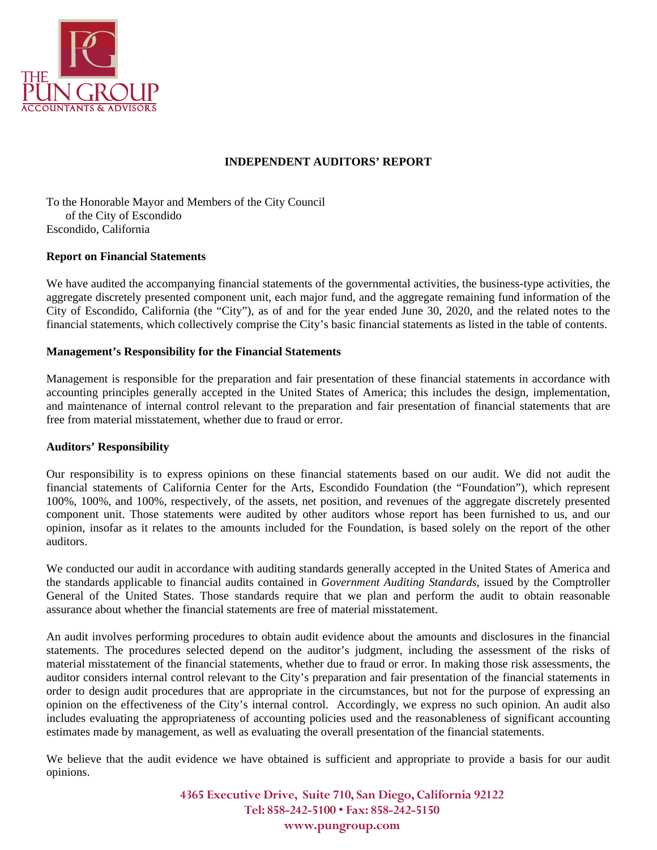

### **INDEPENDENT AUDITORS' REPORT**

To the Honorable Mayor and Members of the City Council of the City of Escondido Escondido, California

#### **Report on Financial Statements**

We have audited the accompanying financial statements of the governmental activities, the business-type activities, the aggregate discretely presented component unit, each major fund, and the aggregate remaining fund information of the City of Escondido, California (the "City"), as of and for the year ended June 30, 2020, and the related notes to the financial statements, which collectively comprise the City's basic financial statements as listed in the table of contents.

#### **Management's Responsibility for the Financial Statements**

Management is responsible for the preparation and fair presentation of these financial statements in accordance with accounting principles generally accepted in the United States of America; this includes the design, implementation, and maintenance of internal control relevant to the preparation and fair presentation of financial statements that are free from material misstatement, whether due to fraud or error.

#### **Auditors' Responsibility**

Our responsibility is to express opinions on these financial statements based on our audit. We did not audit the financial statements of California Center for the Arts, Escondido Foundation (the "Foundation"), which represent 100%, 100%, and 100%, respectively, of the assets, net position, and revenues of the aggregate discretely presented component unit. Those statements were audited by other auditors whose report has been furnished to us, and our opinion, insofar as it relates to the amounts included for the Foundation, is based solely on the report of the other auditors.

We conducted our audit in accordance with auditing standards generally accepted in the United States of America and the standards applicable to financial audits contained in *Government Auditing Standards*, issued by the Comptroller General of the United States. Those standards require that we plan and perform the audit to obtain reasonable assurance about whether the financial statements are free of material misstatement.

An audit involves performing procedures to obtain audit evidence about the amounts and disclosures in the financial statements. The procedures selected depend on the auditor's judgment, including the assessment of the risks of material misstatement of the financial statements, whether due to fraud or error. In making those risk assessments, the auditor considers internal control relevant to the City's preparation and fair presentation of the financial statements in order to design audit procedures that are appropriate in the circumstances, but not for the purpose of expressing an opinion on the effectiveness of the City's internal control. Accordingly, we express no such opinion. An audit also includes evaluating the appropriateness of accounting policies used and the reasonableness of significant accounting estimates made by management, as well as evaluating the overall presentation of the financial statements.

We believe that the audit evidence we have obtained is sufficient and appropriate to provide a basis for our audit opinions.

> **4365 Executive Drive, Suite 710, San Diego, California 92122 Tel: 858-242-5100 • Fax: 858-242-5150 www.pungroup.com**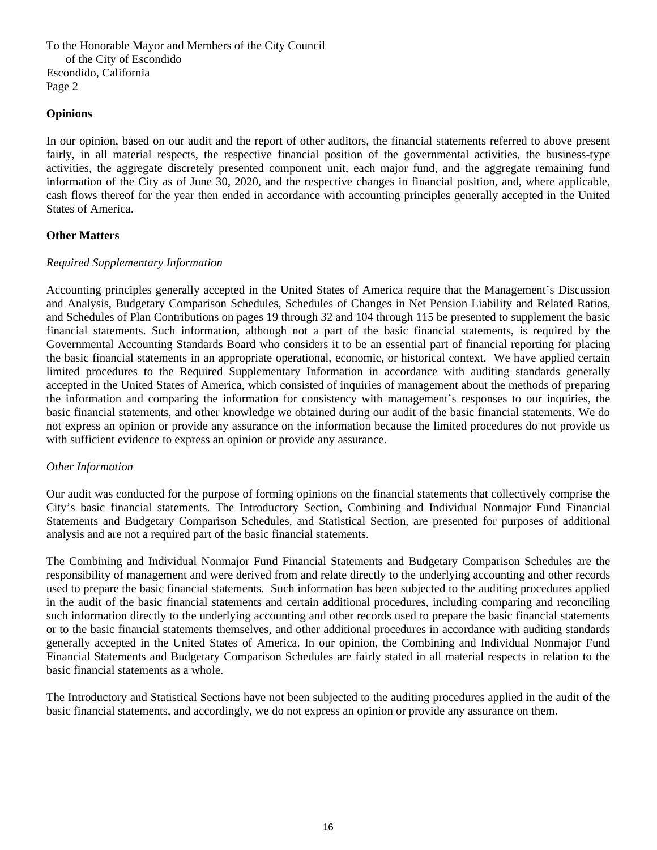To the Honorable Mayor and Members of the City Council of the City of Escondido Escondido, California Page 2

#### **Opinions**

In our opinion, based on our audit and the report of other auditors, the financial statements referred to above present fairly, in all material respects, the respective financial position of the governmental activities, the business-type activities, the aggregate discretely presented component unit, each major fund, and the aggregate remaining fund information of the City as of June 30, 2020, and the respective changes in financial position, and, where applicable, cash flows thereof for the year then ended in accordance with accounting principles generally accepted in the United States of America.

#### **Other Matters**

#### *Required Supplementary Information*

Accounting principles generally accepted in the United States of America require that the Management's Discussion and Analysis, Budgetary Comparison Schedules, Schedules of Changes in Net Pension Liability and Related Ratios, and Schedules of Plan Contributions on pages 19 through 32 and 104 through 115 be presented to supplement the basic financial statements. Such information, although not a part of the basic financial statements, is required by the Governmental Accounting Standards Board who considers it to be an essential part of financial reporting for placing the basic financial statements in an appropriate operational, economic, or historical context. We have applied certain limited procedures to the Required Supplementary Information in accordance with auditing standards generally accepted in the United States of America, which consisted of inquiries of management about the methods of preparing the information and comparing the information for consistency with management's responses to our inquiries, the basic financial statements, and other knowledge we obtained during our audit of the basic financial statements. We do not express an opinion or provide any assurance on the information because the limited procedures do not provide us with sufficient evidence to express an opinion or provide any assurance.

#### *Other Information*

Our audit was conducted for the purpose of forming opinions on the financial statements that collectively comprise the City's basic financial statements. The Introductory Section, Combining and Individual Nonmajor Fund Financial Statements and Budgetary Comparison Schedules, and Statistical Section, are presented for purposes of additional analysis and are not a required part of the basic financial statements.

The Combining and Individual Nonmajor Fund Financial Statements and Budgetary Comparison Schedules are the responsibility of management and were derived from and relate directly to the underlying accounting and other records used to prepare the basic financial statements. Such information has been subjected to the auditing procedures applied in the audit of the basic financial statements and certain additional procedures, including comparing and reconciling such information directly to the underlying accounting and other records used to prepare the basic financial statements or to the basic financial statements themselves, and other additional procedures in accordance with auditing standards generally accepted in the United States of America. In our opinion, the Combining and Individual Nonmajor Fund Financial Statements and Budgetary Comparison Schedules are fairly stated in all material respects in relation to the basic financial statements as a whole.

The Introductory and Statistical Sections have not been subjected to the auditing procedures applied in the audit of the basic financial statements, and accordingly, we do not express an opinion or provide any assurance on them.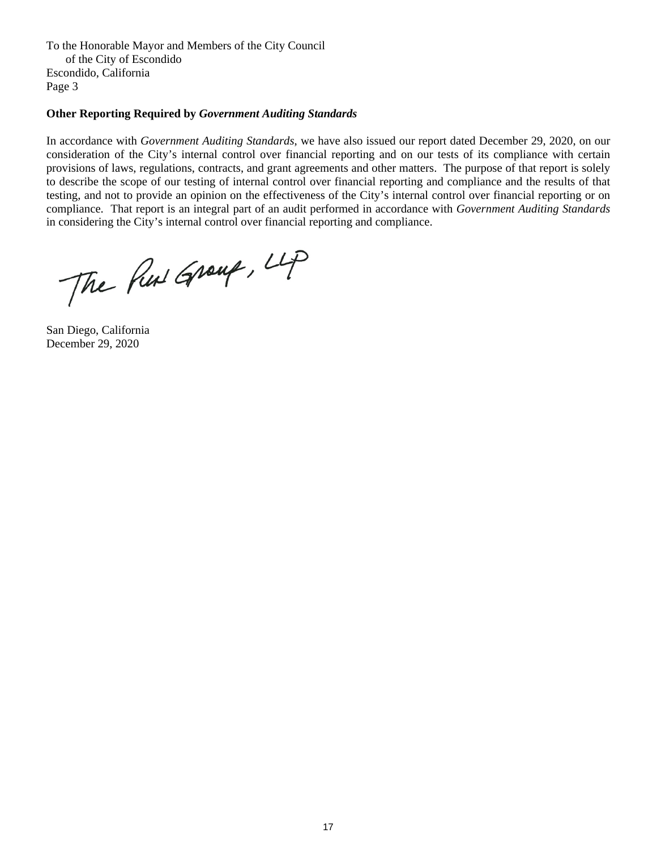To the Honorable Mayor and Members of the City Council of the City of Escondido Escondido, California Page 3

#### **Other Reporting Required by** *Government Auditing Standards*

In accordance with *Government Auditing Standards*, we have also issued our report dated December 29, 2020, on our consideration of the City's internal control over financial reporting and on our tests of its compliance with certain provisions of laws, regulations, contracts, and grant agreements and other matters. The purpose of that report is solely to describe the scope of our testing of internal control over financial reporting and compliance and the results of that testing, and not to provide an opinion on the effectiveness of the City's internal control over financial reporting or on compliance. That report is an integral part of an audit performed in accordance with *Government Auditing Standards* in considering the City's internal control over financial reporting and compliance.

The Punt Group, LLP

San Diego, California December 29, 2020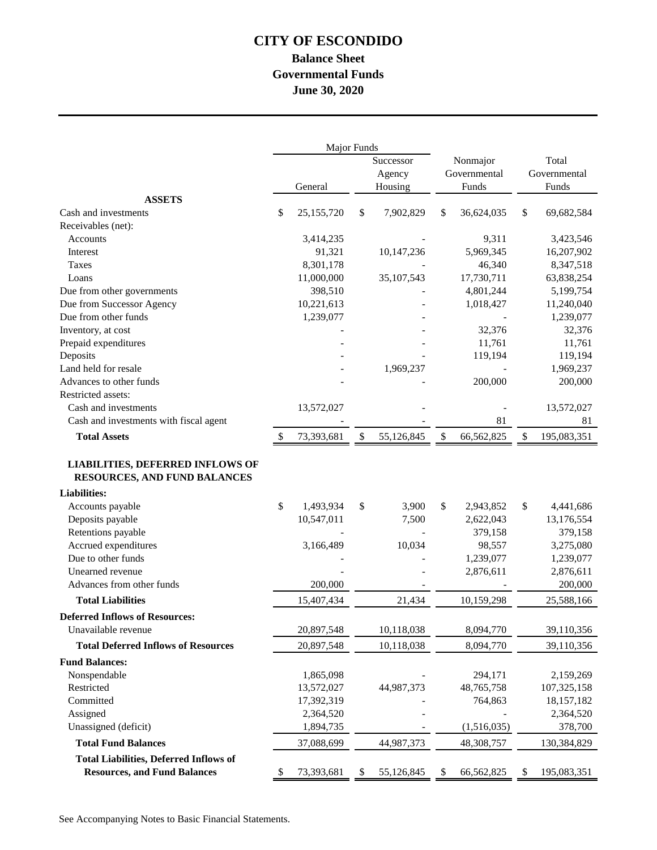# **CITY OF ESCONDIDO Balance Sheet Governmental Funds June 30, 2020**

|                                                                         | Major Funds               |            |                     |            |                          |             |                       |             |
|-------------------------------------------------------------------------|---------------------------|------------|---------------------|------------|--------------------------|-------------|-----------------------|-------------|
|                                                                         |                           |            | Successor<br>Agency |            | Nonmajor<br>Governmental |             | Total<br>Governmental |             |
|                                                                         |                           | General    |                     | Housing    |                          | Funds       |                       | Funds       |
| <b>ASSETS</b>                                                           |                           |            |                     |            |                          |             |                       |             |
| Cash and investments                                                    | \$                        | 25,155,720 | \$                  | 7,902,829  | \$                       | 36,624,035  | \$                    | 69,682,584  |
| Receivables (net):                                                      |                           |            |                     |            |                          |             |                       |             |
| Accounts                                                                |                           | 3,414,235  |                     |            |                          | 9,311       |                       | 3,423,546   |
| Interest                                                                |                           | 91,321     |                     | 10,147,236 |                          | 5,969,345   |                       | 16,207,902  |
| Taxes                                                                   |                           | 8,301,178  |                     |            |                          | 46,340      |                       | 8,347,518   |
| Loans                                                                   |                           | 11,000,000 |                     | 35,107,543 |                          | 17,730,711  |                       | 63,838,254  |
| Due from other governments                                              |                           | 398,510    |                     |            |                          | 4,801,244   |                       | 5,199,754   |
| Due from Successor Agency                                               |                           | 10,221,613 |                     |            |                          | 1,018,427   |                       | 11,240,040  |
| Due from other funds                                                    |                           | 1,239,077  |                     |            |                          |             |                       | 1,239,077   |
| Inventory, at cost                                                      |                           |            |                     |            |                          | 32,376      |                       | 32,376      |
| Prepaid expenditures                                                    |                           |            |                     |            |                          | 11,761      |                       | 11,761      |
| Deposits                                                                |                           |            |                     |            |                          | 119,194     |                       | 119,194     |
| Land held for resale                                                    |                           |            |                     | 1,969,237  |                          |             |                       | 1,969,237   |
| Advances to other funds                                                 |                           |            |                     |            |                          | 200,000     |                       | 200,000     |
| Restricted assets:                                                      |                           |            |                     |            |                          |             |                       |             |
| Cash and investments                                                    |                           | 13,572,027 |                     |            |                          |             |                       | 13,572,027  |
| Cash and investments with fiscal agent                                  |                           |            |                     |            |                          | 81          |                       | 81          |
| <b>Total Assets</b>                                                     | $\boldsymbol{\mathsf{S}}$ | 73,393,681 | \$                  | 55,126,845 | \$                       | 66,562,825  | \$                    | 195,083,351 |
| <b>LIABILITIES, DEFERRED INFLOWS OF</b><br>RESOURCES, AND FUND BALANCES |                           |            |                     |            |                          |             |                       |             |
| <b>Liabilities:</b>                                                     |                           |            |                     |            |                          |             |                       |             |
| Accounts payable                                                        | \$                        | 1,493,934  | \$                  | 3,900      | \$                       | 2,943,852   | \$                    | 4,441,686   |
| Deposits payable                                                        |                           | 10,547,011 |                     | 7,500      |                          | 2,622,043   |                       | 13,176,554  |
| Retentions payable                                                      |                           |            |                     |            |                          | 379,158     |                       | 379,158     |
| Accrued expenditures                                                    |                           | 3,166,489  |                     | 10,034     |                          | 98,557      |                       | 3,275,080   |
| Due to other funds                                                      |                           |            |                     |            |                          | 1,239,077   |                       | 1,239,077   |
| Unearned revenue                                                        |                           |            |                     |            |                          | 2,876,611   |                       | 2,876,611   |
| Advances from other funds                                               |                           | 200,000    |                     |            |                          |             |                       | 200,000     |
| <b>Total Liabilities</b>                                                |                           | 15,407,434 |                     | 21,434     |                          | 10,159,298  |                       | 25,588,166  |
| <b>Deferred Inflows of Resources:</b>                                   |                           |            |                     |            |                          |             |                       |             |
| Unavailable revenue                                                     |                           | 20,897,548 |                     | 10,118,038 |                          | 8,094,770   |                       | 39,110,356  |
| <b>Total Deferred Inflows of Resources</b>                              |                           | 20,897,548 |                     | 10,118,038 |                          | 8,094,770   |                       | 39,110,356  |
| <b>Fund Balances:</b>                                                   |                           |            |                     |            |                          |             |                       |             |
| Nonspendable                                                            |                           | 1,865,098  |                     |            |                          | 294,171     |                       | 2,159,269   |
| Restricted                                                              |                           | 13,572,027 |                     | 44,987,373 |                          | 48,765,758  |                       | 107,325,158 |
| Committed                                                               |                           | 17,392,319 |                     |            |                          | 764,863     |                       | 18,157,182  |
| Assigned                                                                |                           | 2,364,520  |                     |            |                          |             |                       | 2,364,520   |
| Unassigned (deficit)                                                    |                           | 1,894,735  |                     |            |                          | (1,516,035) |                       | 378,700     |
| <b>Total Fund Balances</b>                                              |                           | 37,088,699 |                     | 44,987,373 |                          | 48,308,757  |                       | 130,384,829 |
| <b>Total Liabilities, Deferred Inflows of</b>                           |                           |            |                     |            |                          |             |                       |             |
| <b>Resources, and Fund Balances</b>                                     | \$                        | 73,393,681 | \$                  | 55,126,845 | \$                       | 66,562,825  | \$                    | 195,083,351 |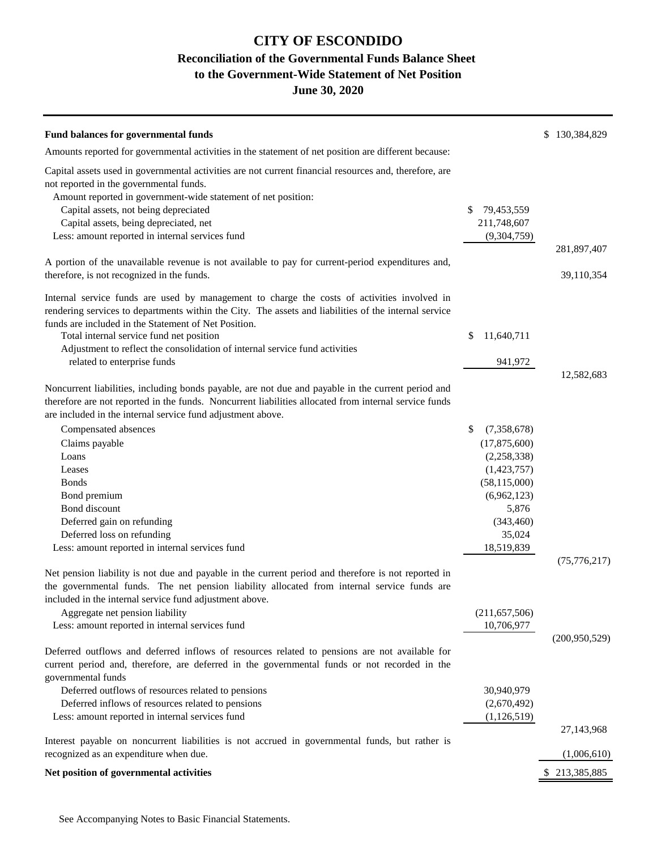# **CITY OF ESCONDIDO Reconciliation of the Governmental Funds Balance Sheet to the Government-Wide Statement of Net Position June 30, 2020**

| Fund balances for governmental funds                                                                                                                                                                                                                                                                                                                                                                                   |                                                | \$130,384,829  |
|------------------------------------------------------------------------------------------------------------------------------------------------------------------------------------------------------------------------------------------------------------------------------------------------------------------------------------------------------------------------------------------------------------------------|------------------------------------------------|----------------|
| Amounts reported for governmental activities in the statement of net position are different because:                                                                                                                                                                                                                                                                                                                   |                                                |                |
| Capital assets used in governmental activities are not current financial resources and, therefore, are<br>not reported in the governmental funds.<br>Amount reported in government-wide statement of net position:<br>Capital assets, not being depreciated<br>Capital assets, being depreciated, net<br>Less: amount reported in internal services fund                                                               | \$<br>79,453,559<br>211,748,607<br>(9,304,759) |                |
|                                                                                                                                                                                                                                                                                                                                                                                                                        |                                                | 281,897,407    |
| A portion of the unavailable revenue is not available to pay for current-period expenditures and,<br>therefore, is not recognized in the funds.                                                                                                                                                                                                                                                                        |                                                | 39,110,354     |
| Internal service funds are used by management to charge the costs of activities involved in<br>rendering services to departments within the City. The assets and liabilities of the internal service<br>funds are included in the Statement of Net Position.<br>Total internal service fund net position<br>Adjustment to reflect the consolidation of internal service fund activities<br>related to enterprise funds | \$<br>11,640,711<br>941,972                    |                |
|                                                                                                                                                                                                                                                                                                                                                                                                                        |                                                | 12,582,683     |
| Noncurrent liabilities, including bonds payable, are not due and payable in the current period and<br>therefore are not reported in the funds. Noncurrent liabilities allocated from internal service funds<br>are included in the internal service fund adjustment above.                                                                                                                                             |                                                |                |
| Compensated absences                                                                                                                                                                                                                                                                                                                                                                                                   | \$<br>(7,358,678)                              |                |
| Claims payable                                                                                                                                                                                                                                                                                                                                                                                                         | (17,875,600)                                   |                |
| Loans<br>Leases                                                                                                                                                                                                                                                                                                                                                                                                        | (2,258,338)<br>(1,423,757)                     |                |
| <b>Bonds</b>                                                                                                                                                                                                                                                                                                                                                                                                           | (58, 115, 000)                                 |                |
| Bond premium                                                                                                                                                                                                                                                                                                                                                                                                           | (6,962,123)                                    |                |
| Bond discount                                                                                                                                                                                                                                                                                                                                                                                                          | 5,876                                          |                |
| Deferred gain on refunding                                                                                                                                                                                                                                                                                                                                                                                             | (343, 460)                                     |                |
| Deferred loss on refunding                                                                                                                                                                                                                                                                                                                                                                                             | 35,024                                         |                |
| Less: amount reported in internal services fund                                                                                                                                                                                                                                                                                                                                                                        | 18,519,839                                     |                |
|                                                                                                                                                                                                                                                                                                                                                                                                                        |                                                | (75, 776, 217) |
| Net pension liability is not due and payable in the current period and therefore is not reported in<br>the governmental funds. The net pension liability allocated from internal service funds are<br>included in the internal service fund adjustment above.                                                                                                                                                          |                                                |                |
| Aggregate net pension liability                                                                                                                                                                                                                                                                                                                                                                                        | (211, 657, 506)                                |                |
| Less: amount reported in internal services fund                                                                                                                                                                                                                                                                                                                                                                        | 10,706,977                                     |                |
| Deferred outflows and deferred inflows of resources related to pensions are not available for<br>current period and, therefore, are deferred in the governmental funds or not recorded in the<br>governmental funds                                                                                                                                                                                                    |                                                | (200,950,529)  |
| Deferred outflows of resources related to pensions                                                                                                                                                                                                                                                                                                                                                                     | 30,940,979                                     |                |
| Deferred inflows of resources related to pensions                                                                                                                                                                                                                                                                                                                                                                      | (2,670,492)                                    |                |
| Less: amount reported in internal services fund                                                                                                                                                                                                                                                                                                                                                                        | (1,126,519)                                    |                |
|                                                                                                                                                                                                                                                                                                                                                                                                                        |                                                | 27, 143, 968   |
| Interest payable on noncurrent liabilities is not accrued in governmental funds, but rather is<br>recognized as an expenditure when due.                                                                                                                                                                                                                                                                               |                                                | (1,006,610)    |
| Net position of governmental activities                                                                                                                                                                                                                                                                                                                                                                                |                                                | \$213,385,885  |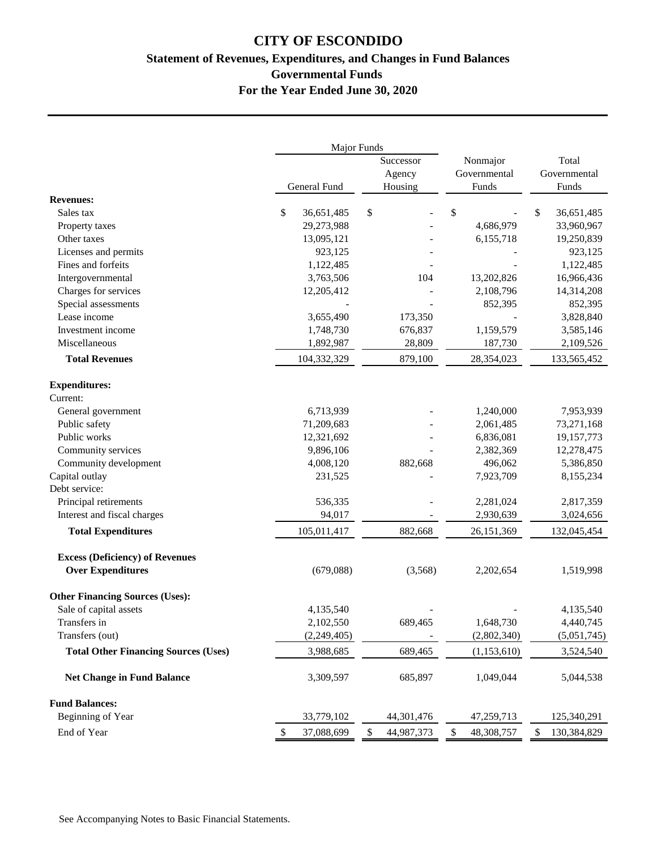# **CITY OF ESCONDIDO Statement of Revenues, Expenditures, and Changes in Fund Balances Governmental Funds For the Year Ended June 30, 2020**

|                                             |                  | <b>Major Funds</b> |                       |                       |  |
|---------------------------------------------|------------------|--------------------|-----------------------|-----------------------|--|
|                                             |                  | Successor          | Nonmajor              | Total                 |  |
|                                             | General Fund     | Agency<br>Housing  | Governmental<br>Funds | Governmental<br>Funds |  |
| <b>Revenues:</b>                            |                  |                    |                       |                       |  |
| Sales tax                                   | \$<br>36,651,485 | \$                 | \$                    | \$<br>36,651,485      |  |
| Property taxes                              | 29,273,988       |                    | 4,686,979             | 33,960,967            |  |
| Other taxes                                 | 13,095,121       |                    | 6,155,718             | 19,250,839            |  |
| Licenses and permits                        | 923,125          |                    |                       | 923,125               |  |
| Fines and forfeits                          | 1,122,485        |                    |                       | 1,122,485             |  |
| Intergovernmental                           | 3,763,506        | 104                | 13,202,826            | 16,966,436            |  |
| Charges for services                        | 12,205,412       |                    | 2,108,796             | 14,314,208            |  |
| Special assessments                         |                  |                    | 852,395               | 852,395               |  |
| Lease income                                | 3,655,490        | 173,350            |                       | 3,828,840             |  |
| Investment income                           | 1,748,730        | 676,837            | 1,159,579             | 3,585,146             |  |
| Miscellaneous                               | 1,892,987        | 28,809             | 187,730               | 2,109,526             |  |
| <b>Total Revenues</b>                       | 104,332,329      | 879,100            | 28,354,023            | 133,565,452           |  |
| <b>Expenditures:</b>                        |                  |                    |                       |                       |  |
| Current:                                    |                  |                    |                       |                       |  |
| General government                          | 6,713,939        |                    | 1,240,000             | 7,953,939             |  |
| Public safety                               | 71,209,683       |                    | 2,061,485             | 73,271,168            |  |
| Public works                                | 12,321,692       |                    | 6,836,081             | 19,157,773            |  |
| Community services                          | 9,896,106        |                    | 2,382,369             | 12,278,475            |  |
| Community development                       | 4,008,120        | 882,668            | 496,062               | 5,386,850             |  |
| Capital outlay                              | 231,525          |                    | 7,923,709             | 8,155,234             |  |
| Debt service:                               |                  |                    |                       |                       |  |
| Principal retirements                       | 536,335          |                    | 2,281,024             | 2,817,359             |  |
| Interest and fiscal charges                 | 94,017           |                    | 2,930,639             | 3,024,656             |  |
| <b>Total Expenditures</b>                   | 105,011,417      | 882,668            | 26,151,369            | 132,045,454           |  |
| <b>Excess (Deficiency) of Revenues</b>      |                  |                    |                       |                       |  |
| <b>Over Expenditures</b>                    | (679,088)        | (3,568)            | 2,202,654             | 1,519,998             |  |
| <b>Other Financing Sources (Uses):</b>      |                  |                    |                       |                       |  |
| Sale of capital assets                      | 4,135,540        |                    |                       | 4,135,540             |  |
| Transfers in                                | 2,102,550        | 689,465            | 1,648,730             | 4,440,745             |  |
| Transfers (out)                             | (2, 249, 405)    |                    | (2,802,340)           | (5,051,745)           |  |
| <b>Total Other Financing Sources (Uses)</b> | 3,988,685        | 689,465            | (1, 153, 610)         | 3,524,540             |  |
| <b>Net Change in Fund Balance</b>           | 3,309,597        | 685,897            | 1,049,044             | 5,044,538             |  |
| <b>Fund Balances:</b>                       |                  |                    |                       |                       |  |
| Beginning of Year                           | 33,779,102       | 44,301,476         | 47,259,713            | 125,340,291           |  |
| End of Year                                 | 37,088,699<br>\$ | \$<br>44,987,373   | $\$$<br>48,308,757    | \$<br>130,384,829     |  |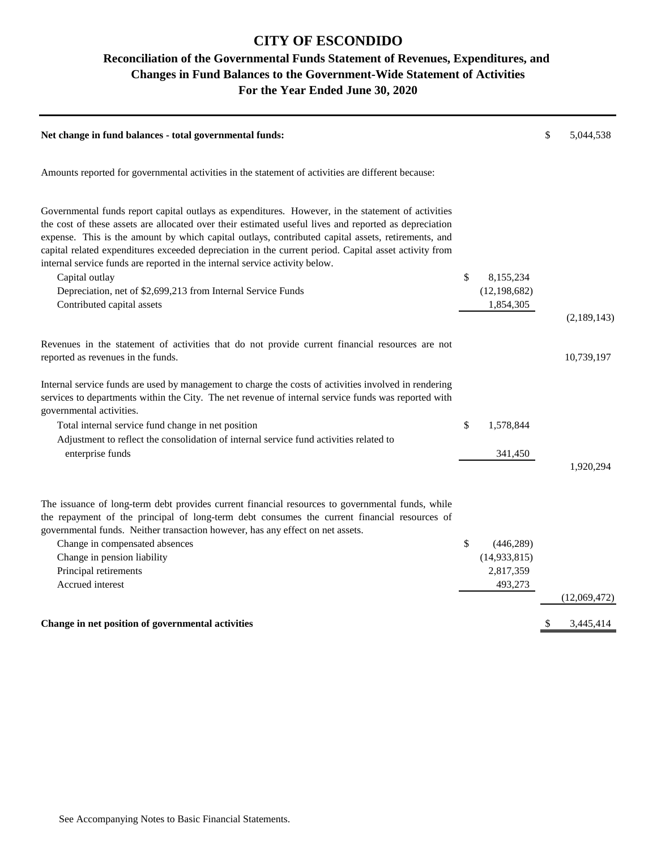## **CITY OF ESCONDIDO**

## **Reconciliation of the Governmental Funds Statement of Revenues, Expenditures, and Changes in Fund Balances to the Government-Wide Statement of Activities For the Year Ended June 30, 2020**

| Net change in fund balances - total governmental funds:                                                                                                                                                                                                                                                                                                                                                                                                                                                   |                                                | \$   | 5,044,538    |
|-----------------------------------------------------------------------------------------------------------------------------------------------------------------------------------------------------------------------------------------------------------------------------------------------------------------------------------------------------------------------------------------------------------------------------------------------------------------------------------------------------------|------------------------------------------------|------|--------------|
| Amounts reported for governmental activities in the statement of activities are different because:                                                                                                                                                                                                                                                                                                                                                                                                        |                                                |      |              |
| Governmental funds report capital outlays as expenditures. However, in the statement of activities<br>the cost of these assets are allocated over their estimated useful lives and reported as depreciation<br>expense. This is the amount by which capital outlays, contributed capital assets, retirements, and<br>capital related expenditures exceeded depreciation in the current period. Capital asset activity from<br>internal service funds are reported in the internal service activity below. |                                                |      |              |
| Capital outlay<br>Depreciation, net of \$2,699,213 from Internal Service Funds<br>Contributed capital assets                                                                                                                                                                                                                                                                                                                                                                                              | \$<br>8,155,234<br>(12, 198, 682)<br>1,854,305 |      |              |
|                                                                                                                                                                                                                                                                                                                                                                                                                                                                                                           |                                                |      | (2,189,143)  |
| Revenues in the statement of activities that do not provide current financial resources are not<br>reported as revenues in the funds.                                                                                                                                                                                                                                                                                                                                                                     |                                                |      | 10,739,197   |
| Internal service funds are used by management to charge the costs of activities involved in rendering<br>services to departments within the City. The net revenue of internal service funds was reported with<br>governmental activities.                                                                                                                                                                                                                                                                 |                                                |      |              |
| Total internal service fund change in net position                                                                                                                                                                                                                                                                                                                                                                                                                                                        | \$<br>1,578,844                                |      |              |
| Adjustment to reflect the consolidation of internal service fund activities related to                                                                                                                                                                                                                                                                                                                                                                                                                    |                                                |      |              |
| enterprise funds                                                                                                                                                                                                                                                                                                                                                                                                                                                                                          | 341,450                                        |      |              |
|                                                                                                                                                                                                                                                                                                                                                                                                                                                                                                           |                                                |      | 1,920,294    |
| The issuance of long-term debt provides current financial resources to governmental funds, while<br>the repayment of the principal of long-term debt consumes the current financial resources of<br>governmental funds. Neither transaction however, has any effect on net assets.                                                                                                                                                                                                                        |                                                |      |              |
| Change in compensated absences                                                                                                                                                                                                                                                                                                                                                                                                                                                                            | \$<br>(446, 289)                               |      |              |
| Change in pension liability                                                                                                                                                                                                                                                                                                                                                                                                                                                                               | (14, 933, 815)                                 |      |              |
| Principal retirements                                                                                                                                                                                                                                                                                                                                                                                                                                                                                     | 2,817,359                                      |      |              |
| Accrued interest                                                                                                                                                                                                                                                                                                                                                                                                                                                                                          | 493,273                                        |      | (12,069,472) |
|                                                                                                                                                                                                                                                                                                                                                                                                                                                                                                           |                                                |      |              |
| Change in net position of governmental activities                                                                                                                                                                                                                                                                                                                                                                                                                                                         |                                                | - \$ | 3,445,414    |